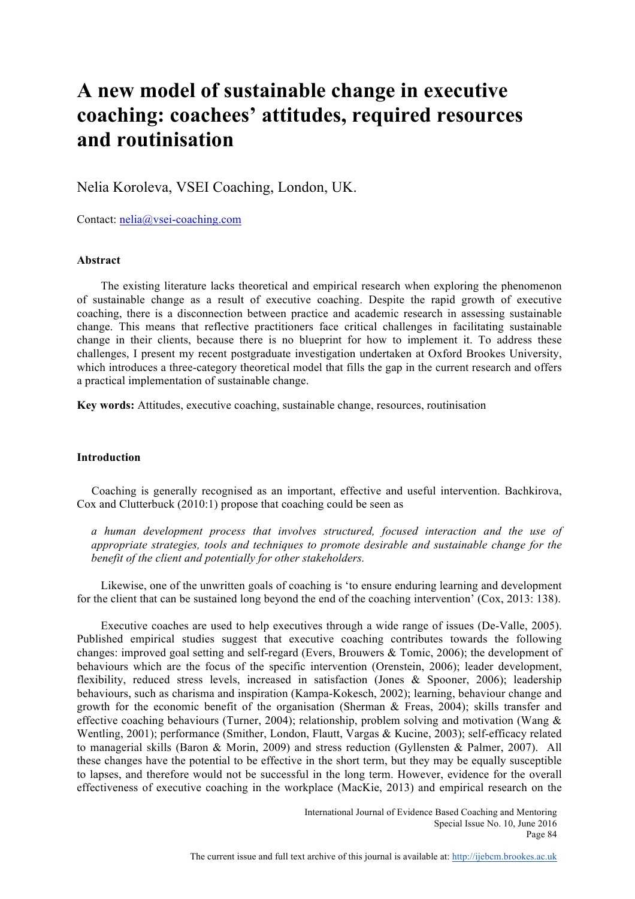# **A new model of sustainable change in executive coaching: coachees' attitudes, required resources and routinisation**

Nelia Koroleva, VSEI Coaching, London, UK.

Contact: nelia@vsei-coaching.com

# **Abstract**

The existing literature lacks theoretical and empirical research when exploring the phenomenon of sustainable change as a result of executive coaching. Despite the rapid growth of executive coaching, there is a disconnection between practice and academic research in assessing sustainable change. This means that reflective practitioners face critical challenges in facilitating sustainable change in their clients, because there is no blueprint for how to implement it. To address these challenges, I present my recent postgraduate investigation undertaken at Oxford Brookes University, which introduces a three-category theoretical model that fills the gap in the current research and offers a practical implementation of sustainable change.

**Key words:** Attitudes, executive coaching, sustainable change, resources, routinisation

# **Introduction**

 Coaching is generally recognised as an important, effective and useful intervention. Bachkirova, Cox and Clutterbuck (2010:1) propose that coaching could be seen as

*a human development process that involves structured, focused interaction and the use of appropriate strategies, tools and techniques to promote desirable and sustainable change for the benefit of the client and potentially for other stakeholders.*

Likewise, one of the unwritten goals of coaching is 'to ensure enduring learning and development for the client that can be sustained long beyond the end of the coaching intervention' (Cox, 2013: 138).

Executive coaches are used to help executives through a wide range of issues (De-Valle, 2005). Published empirical studies suggest that executive coaching contributes towards the following changes: improved goal setting and self-regard (Evers, Brouwers & Tomic, 2006); the development of behaviours which are the focus of the specific intervention (Orenstein, 2006); leader development, flexibility, reduced stress levels, increased in satisfaction (Jones & Spooner, 2006); leadership behaviours, such as charisma and inspiration (Kampa-Kokesch, 2002); learning, behaviour change and growth for the economic benefit of the organisation (Sherman & Freas, 2004); skills transfer and effective coaching behaviours (Turner, 2004); relationship, problem solving and motivation (Wang & Wentling, 2001); performance (Smither, London, Flautt, Vargas & Kucine, 2003); self-efficacy related to managerial skills (Baron & Morin, 2009) and stress reduction (Gyllensten & Palmer, 2007). All these changes have the potential to be effective in the short term, but they may be equally susceptible to lapses, and therefore would not be successful in the long term. However, evidence for the overall effectiveness of executive coaching in the workplace (MacKie, 2013) and empirical research on the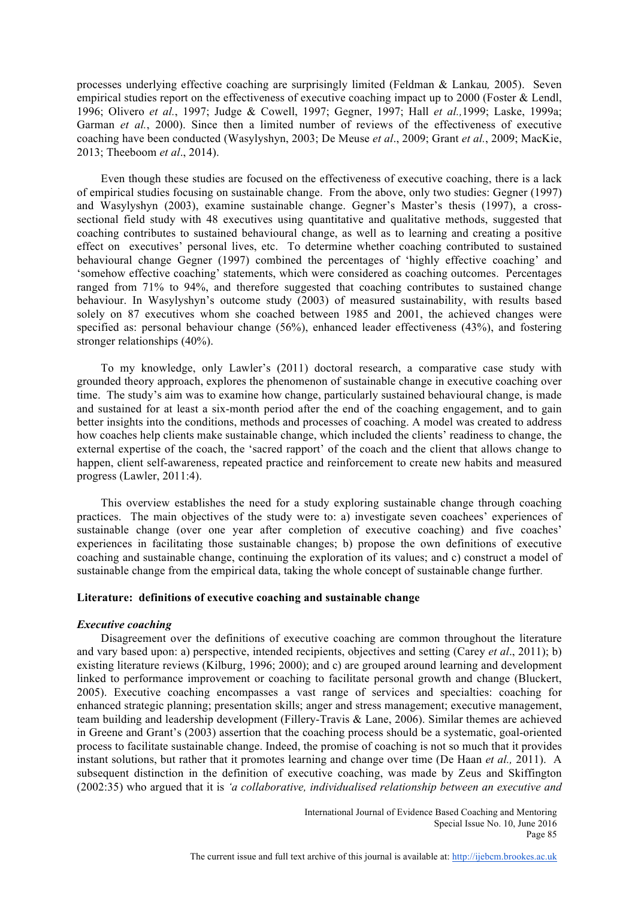processes underlying effective coaching are surprisingly limited (Feldman & Lankau*,* 2005). Seven empirical studies report on the effectiveness of executive coaching impact up to 2000 (Foster & Lendl, 1996; Olivero *et al.*, 1997; Judge & Cowell, 1997; Gegner, 1997; Hall *et al.,*1999; Laske, 1999a; Garman *et al.*, 2000). Since then a limited number of reviews of the effectiveness of executive coaching have been conducted (Wasylyshyn, 2003; De Meuse *et al*., 2009; Grant *et al.*, 2009; MacKie, 2013; Theeboom *et al*., 2014).

 Even though these studies are focused on the effectiveness of executive coaching, there is a lack of empirical studies focusing on sustainable change. From the above, only two studies: Gegner (1997) and Wasylyshyn (2003), examine sustainable change. Gegner's Master's thesis (1997), a crosssectional field study with 48 executives using quantitative and qualitative methods, suggested that coaching contributes to sustained behavioural change, as well as to learning and creating a positive effect on executives' personal lives, etc. To determine whether coaching contributed to sustained behavioural change Gegner (1997) combined the percentages of 'highly effective coaching' and 'somehow effective coaching' statements, which were considered as coaching outcomes. Percentages ranged from 71% to 94%, and therefore suggested that coaching contributes to sustained change behaviour. In Wasylyshyn's outcome study (2003) of measured sustainability, with results based solely on 87 executives whom she coached between 1985 and 2001, the achieved changes were specified as: personal behaviour change (56%), enhanced leader effectiveness (43%), and fostering stronger relationships (40%).

 To my knowledge, only Lawler's (2011) doctoral research, a comparative case study with grounded theory approach, explores the phenomenon of sustainable change in executive coaching over time. The study's aim was to examine how change, particularly sustained behavioural change, is made and sustained for at least a six-month period after the end of the coaching engagement, and to gain better insights into the conditions, methods and processes of coaching. A model was created to address how coaches help clients make sustainable change, which included the clients' readiness to change, the external expertise of the coach, the 'sacred rapport' of the coach and the client that allows change to happen, client self-awareness, repeated practice and reinforcement to create new habits and measured progress (Lawler, 2011:4).

 This overview establishes the need for a study exploring sustainable change through coaching practices. The main objectives of the study were to: a) investigate seven coachees' experiences of sustainable change (over one year after completion of executive coaching) and five coaches' experiences in facilitating those sustainable changes; b) propose the own definitions of executive coaching and sustainable change, continuing the exploration of its values; and c) construct a model of sustainable change from the empirical data, taking the whole concept of sustainable change further*.*

# **Literature: definitions of executive coaching and sustainable change**

# *Executive coaching*

 Disagreement over the definitions of executive coaching are common throughout the literature and vary based upon: a) perspective, intended recipients, objectives and setting (Carey *et al*., 2011); b) existing literature reviews (Kilburg, 1996; 2000); and c) are grouped around learning and development linked to performance improvement or coaching to facilitate personal growth and change (Bluckert, 2005). Executive coaching encompasses a vast range of services and specialties: coaching for enhanced strategic planning; presentation skills; anger and stress management; executive management, team building and leadership development (Fillery-Travis & Lane, 2006). Similar themes are achieved in Greene and Grant's (2003) assertion that the coaching process should be a systematic, goal-oriented process to facilitate sustainable change. Indeed, the promise of coaching is not so much that it provides instant solutions, but rather that it promotes learning and change over time (De Haan *et al.,* 2011). A subsequent distinction in the definition of executive coaching, was made by Zeus and Skiffington (2002:35) who argued that it is *'a collaborative, individualised relationship between an executive and*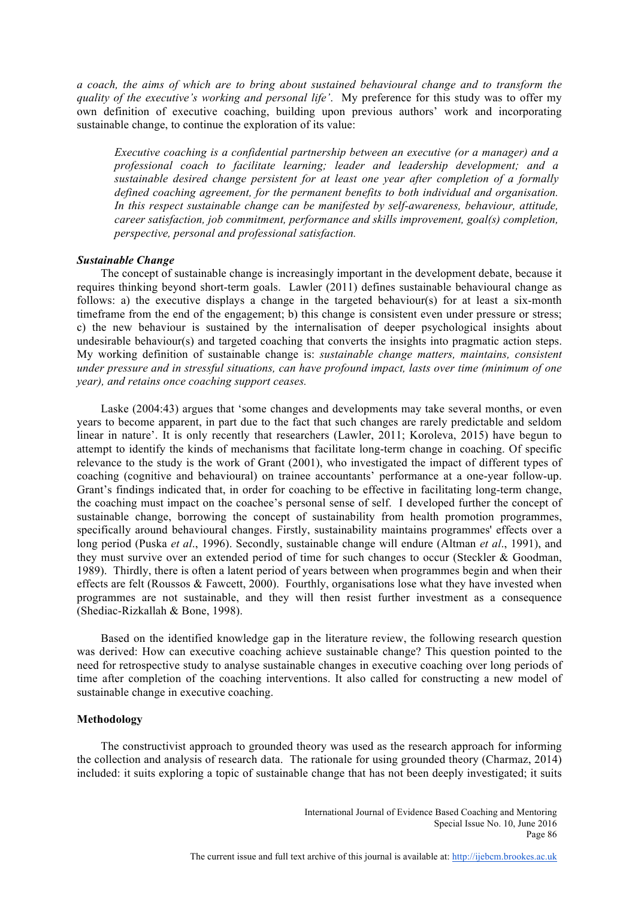*a coach, the aims of which are to bring about sustained behavioural change and to transform the quality of the executive's working and personal life'*. My preference for this study was to offer my own definition of executive coaching, building upon previous authors' work and incorporating sustainable change, to continue the exploration of its value:

*Executive coaching is a confidential partnership between an executive (or a manager) and a professional coach to facilitate learning; leader and leadership development; and a sustainable desired change persistent for at least one year after completion of a formally defined coaching agreement, for the permanent benefits to both individual and organisation. In this respect sustainable change can be manifested by self-awareness, behaviour, attitude, career satisfaction, job commitment, performance and skills improvement, goal(s) completion, perspective, personal and professional satisfaction.*

# *Sustainable Change*

 The concept of sustainable change is increasingly important in the development debate, because it requires thinking beyond short-term goals. Lawler (2011) defines sustainable behavioural change as follows: a) the executive displays a change in the targeted behaviour(s) for at least a six-month timeframe from the end of the engagement; b) this change is consistent even under pressure or stress; c) the new behaviour is sustained by the internalisation of deeper psychological insights about undesirable behaviour(s) and targeted coaching that converts the insights into pragmatic action steps. My working definition of sustainable change is: *sustainable change matters, maintains, consistent under pressure and in stressful situations, can have profound impact, lasts over time (minimum of one year), and retains once coaching support ceases.*

 Laske (2004:43) argues that 'some changes and developments may take several months, or even years to become apparent, in part due to the fact that such changes are rarely predictable and seldom linear in nature'. It is only recently that researchers (Lawler, 2011; Koroleva, 2015) have begun to attempt to identify the kinds of mechanisms that facilitate long-term change in coaching. Of specific relevance to the study is the work of Grant (2001), who investigated the impact of different types of coaching (cognitive and behavioural) on trainee accountants' performance at a one-year follow-up. Grant's findings indicated that, in order for coaching to be effective in facilitating long-term change, the coaching must impact on the coachee's personal sense of self. I developed further the concept of sustainable change, borrowing the concept of sustainability from health promotion programmes, specifically around behavioural changes. Firstly, sustainability maintains programmes' effects over a long period (Puska *et al*., 1996). Secondly, sustainable change will endure (Altman *et al*., 1991), and they must survive over an extended period of time for such changes to occur (Steckler & Goodman, 1989). Thirdly, there is often a latent period of years between when programmes begin and when their effects are felt (Roussos & Fawcett, 2000). Fourthly, organisations lose what they have invested when programmes are not sustainable, and they will then resist further investment as a consequence (Shediac-Rizkallah & Bone, 1998).

 Based on the identified knowledge gap in the literature review, the following research question was derived: How can executive coaching achieve sustainable change? This question pointed to the need for retrospective study to analyse sustainable changes in executive coaching over long periods of time after completion of the coaching interventions. It also called for constructing a new model of sustainable change in executive coaching.

# **Methodology**

 The constructivist approach to grounded theory was used as the research approach for informing the collection and analysis of research data. The rationale for using grounded theory (Charmaz, 2014) included: it suits exploring a topic of sustainable change that has not been deeply investigated; it suits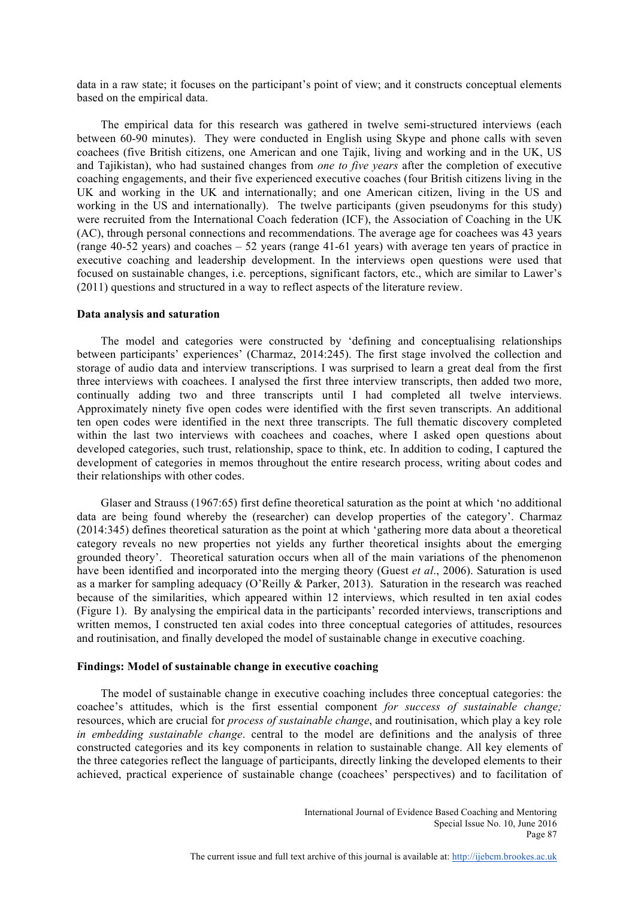data in a raw state; it focuses on the participant's point of view; and it constructs conceptual elements based on the empirical data.

 The empirical data for this research was gathered in twelve semi-structured interviews (each between 60-90 minutes). They were conducted in English using Skype and phone calls with seven coachees (five British citizens, one American and one Tajik, living and working and in the UK, US and Tajikistan), who had sustained changes from *one to five years* after the completion of executive coaching engagements, and their five experienced executive coaches (four British citizens living in the UK and working in the UK and internationally; and one American citizen, living in the US and working in the US and internationally). The twelve participants (given pseudonyms for this study) were recruited from the International Coach federation (ICF), the Association of Coaching in the UK (AC), through personal connections and recommendations. The average age for coachees was 43 years (range 40-52 years) and coaches – 52 years (range 41-61 years) with average ten years of practice in executive coaching and leadership development. In the interviews open questions were used that focused on sustainable changes, i.e. perceptions, significant factors, etc., which are similar to Lawer's (2011) questions and structured in a way to reflect aspects of the literature review.

#### **Data analysis and saturation**

The model and categories were constructed by 'defining and conceptualising relationships between participants' experiences' (Charmaz, 2014:245). The first stage involved the collection and storage of audio data and interview transcriptions. I was surprised to learn a great deal from the first three interviews with coachees. I analysed the first three interview transcripts, then added two more, continually adding two and three transcripts until I had completed all twelve interviews. Approximately ninety five open codes were identified with the first seven transcripts. An additional ten open codes were identified in the next three transcripts. The full thematic discovery completed within the last two interviews with coachees and coaches, where I asked open questions about developed categories, such trust, relationship, space to think, etc. In addition to coding, I captured the development of categories in memos throughout the entire research process, writing about codes and their relationships with other codes.

 Glaser and Strauss (1967:65) first define theoretical saturation as the point at which 'no additional data are being found whereby the (researcher) can develop properties of the category'. Charmaz (2014:345) defines theoretical saturation as the point at which 'gathering more data about a theoretical category reveals no new properties not yields any further theoretical insights about the emerging grounded theory'. Theoretical saturation occurs when all of the main variations of the phenomenon have been identified and incorporated into the merging theory (Guest *et al*., 2006). Saturation is used as a marker for sampling adequacy (O'Reilly & Parker, 2013). Saturation in the research was reached because of the similarities, which appeared within 12 interviews, which resulted in ten axial codes (Figure 1). By analysing the empirical data in the participants' recorded interviews, transcriptions and written memos, I constructed ten axial codes into three conceptual categories of attitudes, resources and routinisation, and finally developed the model of sustainable change in executive coaching.

#### **Findings: Model of sustainable change in executive coaching**

 The model of sustainable change in executive coaching includes three conceptual categories: the coachee's attitudes, which is the first essential component *for success of sustainable change;* resources, which are crucial for *process of sustainable change*, and routinisation, which play a key role *in embedding sustainable change*. central to the model are definitions and the analysis of three constructed categories and its key components in relation to sustainable change. All key elements of the three categories reflect the language of participants, directly linking the developed elements to their achieved, practical experience of sustainable change (coachees' perspectives) and to facilitation of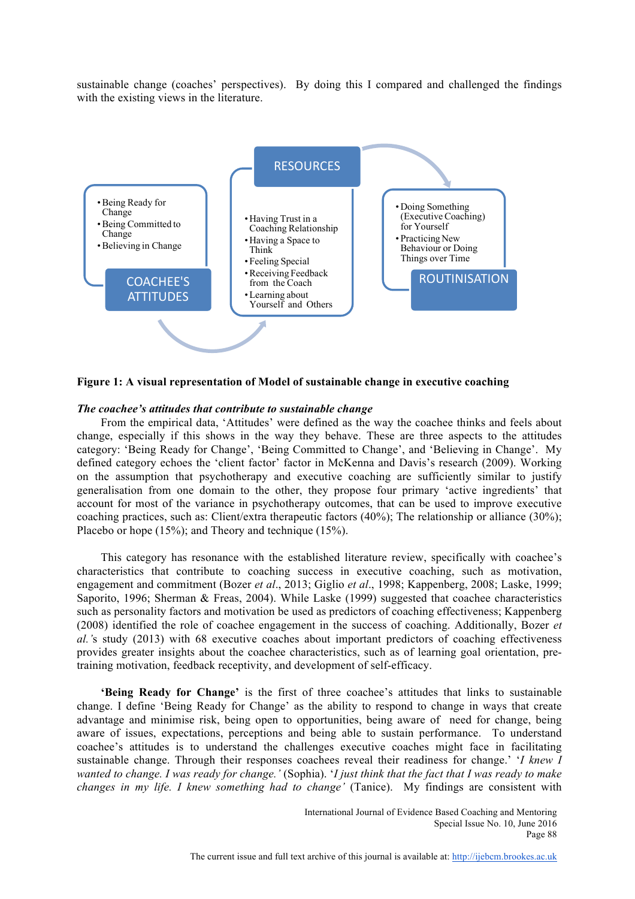sustainable change (coaches' perspectives). By doing this I compared and challenged the findings with the existing views in the literature.



**Figure 1: A visual representation of Model of sustainable change in executive coaching**

#### *The coachee's attitudes that contribute to sustainable change*

 From the empirical data, 'Attitudes' were defined as the way the coachee thinks and feels about change, especially if this shows in the way they behave. These are three aspects to the attitudes category: 'Being Ready for Change', 'Being Committed to Change', and 'Believing in Change'. My defined category echoes the 'client factor' factor in McKenna and Davis's research (2009). Working on the assumption that psychotherapy and executive coaching are sufficiently similar to justify generalisation from one domain to the other, they propose four primary 'active ingredients' that account for most of the variance in psychotherapy outcomes, that can be used to improve executive coaching practices, such as: Client/extra therapeutic factors (40%); The relationship or alliance (30%); Placebo or hope (15%); and Theory and technique (15%).

 This category has resonance with the established literature review, specifically with coachee's characteristics that contribute to coaching success in executive coaching, such as motivation, engagement and commitment (Bozer *et al*., 2013; Giglio *et al*., 1998; Kappenberg, 2008; Laske, 1999; Saporito, 1996; Sherman & Freas, 2004). While Laske (1999) suggested that coachee characteristics such as personality factors and motivation be used as predictors of coaching effectiveness; Kappenberg (2008) identified the role of coachee engagement in the success of coaching. Additionally, Bozer *et al.'*s study (2013) with 68 executive coaches about important predictors of coaching effectiveness provides greater insights about the coachee characteristics, such as of learning goal orientation, pretraining motivation, feedback receptivity, and development of self-efficacy.

 **'Being Ready for Change'** is the first of three coachee's attitudes that links to sustainable change. I define 'Being Ready for Change' as the ability to respond to change in ways that create advantage and minimise risk, being open to opportunities, being aware of need for change, being aware of issues, expectations, perceptions and being able to sustain performance. To understand coachee's attitudes is to understand the challenges executive coaches might face in facilitating sustainable change. Through their responses coachees reveal their readiness for change.' '*I knew I wanted to change. I was ready for change.'* (Sophia). '*I just think that the fact that I was ready to make changes in my life. I knew something had to change'* (Tanice). My findings are consistent with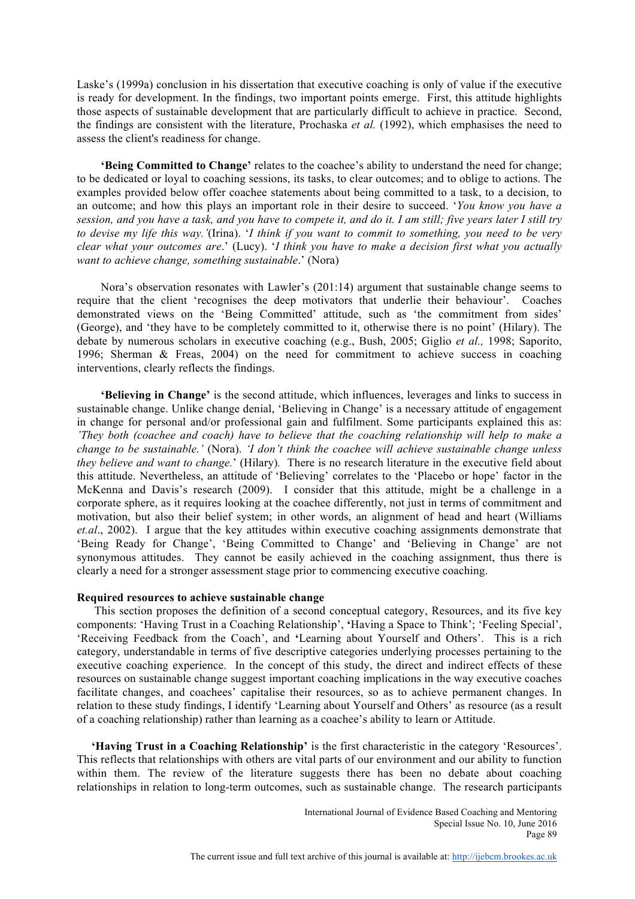Laske's (1999a) conclusion in his dissertation that executive coaching is only of value if the executive is ready for development. In the findings, two important points emerge. First, this attitude highlights those aspects of sustainable development that are particularly difficult to achieve in practice. Second, the findings are consistent with the literature, Prochaska *et al.* (1992), which emphasises the need to assess the client's readiness for change.

 **'Being Committed to Change'** relates to the coachee's ability to understand the need for change; to be dedicated or loyal to coaching sessions, its tasks, to clear outcomes; and to oblige to actions. The examples provided below offer coachee statements about being committed to a task, to a decision, to an outcome; and how this plays an important role in their desire to succeed. '*You know you have a session, and you have a task, and you have to compete it, and do it. I am still; five years later I still try to devise my life this way.'*(Irina). '*I think if you want to commit to something, you need to be very clear what your outcomes are*.' (Lucy). '*I think you have to make a decision first what you actually want to achieve change, something sustainable*.' (Nora)

 Nora's observation resonates with Lawler's (201:14) argument that sustainable change seems to require that the client 'recognises the deep motivators that underlie their behaviour'. Coaches demonstrated views on the 'Being Committed' attitude, such as 'the commitment from sides' (George), and 'they have to be completely committed to it, otherwise there is no point' (Hilary). The debate by numerous scholars in executive coaching (e.g., Bush, 2005; Giglio *et al.,* 1998; Saporito, 1996; Sherman & Freas, 2004) on the need for commitment to achieve success in coaching interventions, clearly reflects the findings.

 **'Believing in Change'** is the second attitude, which influences, leverages and links to success in sustainable change. Unlike change denial, 'Believing in Change' is a necessary attitude of engagement in change for personal and/or professional gain and fulfilment. Some participants explained this as: *'They both (coachee and coach) have to believe that the coaching relationship will help to make a change to be sustainable.'* (Nora). *'I don't think the coachee will achieve sustainable change unless they believe and want to change.*' (Hilary)*.* There is no research literature in the executive field about this attitude. Nevertheless, an attitude of 'Believing' correlates to the 'Placebo or hope' factor in the McKenna and Davis's research (2009). I consider that this attitude, might be a challenge in a corporate sphere, as it requires looking at the coachee differently, not just in terms of commitment and motivation, but also their belief system; in other words, an alignment of head and heart (Williams *et.al*., 2002). I argue that the key attitudes within executive coaching assignments demonstrate that 'Being Ready for Change', 'Being Committed to Change' and 'Believing in Change' are not synonymous attitudes. They cannot be easily achieved in the coaching assignment, thus there is clearly a need for a stronger assessment stage prior to commencing executive coaching.

# **Required resources to achieve sustainable change**

 This section proposes the definition of a second conceptual category, Resources, and its five key components: 'Having Trust in a Coaching Relationship', **'**Having a Space to Think'; 'Feeling Special', 'Receiving Feedback from the Coach', and **'**Learning about Yourself and Others'. This is a rich category, understandable in terms of five descriptive categories underlying processes pertaining to the executive coaching experience. In the concept of this study, the direct and indirect effects of these resources on sustainable change suggest important coaching implications in the way executive coaches facilitate changes, and coachees' capitalise their resources, so as to achieve permanent changes. In relation to these study findings, I identify 'Learning about Yourself and Others' as resource (as a result of a coaching relationship) rather than learning as a coachee's ability to learn or Attitude.

 **'Having Trust in a Coaching Relationship'** is the first characteristic in the category 'Resources'. This reflects that relationships with others are vital parts of our environment and our ability to function within them. The review of the literature suggests there has been no debate about coaching relationships in relation to long-term outcomes, such as sustainable change. The research participants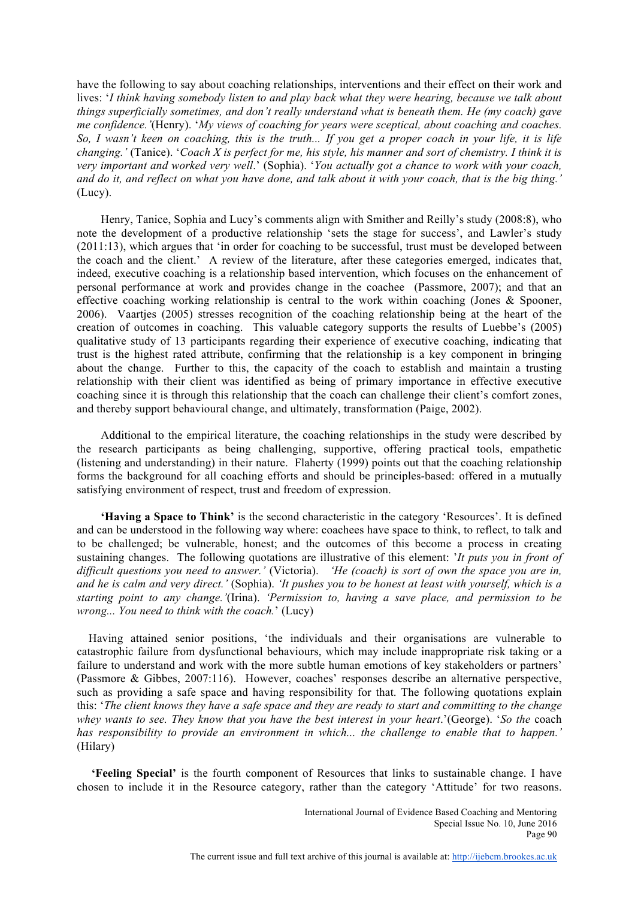have the following to say about coaching relationships, interventions and their effect on their work and lives: '*I think having somebody listen to and play back what they were hearing, because we talk about things superficially sometimes, and don't really understand what is beneath them. He (my coach) gave me confidence.'*(Henry). '*My views of coaching for years were sceptical, about coaching and coaches. So, I wasn't keen on coaching, this is the truth... If you get a proper coach in your life, it is life changing.'* (Tanice). '*Coach X is perfect for me, his style, his manner and sort of chemistry. I think it is very important and worked very well*.' (Sophia). '*You actually got a chance to work with your coach, and do it, and reflect on what you have done, and talk about it with your coach, that is the big thing.'* (Lucy).

 Henry, Tanice, Sophia and Lucy's comments align with Smither and Reilly's study (2008:8), who note the development of a productive relationship 'sets the stage for success', and Lawler's study (2011:13), which argues that 'in order for coaching to be successful, trust must be developed between the coach and the client.' A review of the literature, after these categories emerged, indicates that, indeed, executive coaching is a relationship based intervention, which focuses on the enhancement of personal performance at work and provides change in the coachee (Passmore, 2007); and that an effective coaching working relationship is central to the work within coaching (Jones & Spooner, 2006). Vaartjes (2005) stresses recognition of the coaching relationship being at the heart of the creation of outcomes in coaching. This valuable category supports the results of Luebbe's (2005) qualitative study of 13 participants regarding their experience of executive coaching, indicating that trust is the highest rated attribute, confirming that the relationship is a key component in bringing about the change. Further to this, the capacity of the coach to establish and maintain a trusting relationship with their client was identified as being of primary importance in effective executive coaching since it is through this relationship that the coach can challenge their client's comfort zones, and thereby support behavioural change, and ultimately, transformation (Paige, 2002).

 Additional to the empirical literature, the coaching relationships in the study were described by the research participants as being challenging, supportive, offering practical tools, empathetic (listening and understanding) in their nature. Flaherty (1999) points out that the coaching relationship forms the background for all coaching efforts and should be principles-based: offered in a mutually satisfying environment of respect, trust and freedom of expression.

 **'Having a Space to Think'** is the second characteristic in the category 'Resources'. It is defined and can be understood in the following way where: coachees have space to think, to reflect, to talk and to be challenged; be vulnerable, honest; and the outcomes of this become a process in creating sustaining changes. The following quotations are illustrative of this element: '*It puts you in front of difficult questions you need to answer.'* (Victoria). *'He (coach) is sort of own the space you are in, and he is calm and very direct.'* (Sophia). *'It pushes you to be honest at least with yourself, which is a starting point to any change.'*(Irina). *'Permission to, having a save place, and permission to be wrong... You need to think with the coach.*' (Lucy)

 Having attained senior positions, 'the individuals and their organisations are vulnerable to catastrophic failure from dysfunctional behaviours, which may include inappropriate risk taking or a failure to understand and work with the more subtle human emotions of key stakeholders or partners' (Passmore & Gibbes, 2007:116). However, coaches' responses describe an alternative perspective, such as providing a safe space and having responsibility for that. The following quotations explain this: '*The client knows they have a safe space and they are ready to start and committing to the change whey wants to see. They know that you have the best interest in your heart*.'(George). '*So the* coach *has responsibility to provide an environment in which... the challenge to enable that to happen.'*  (Hilary)

 **'Feeling Special'** is the fourth component of Resources that links to sustainable change. I have chosen to include it in the Resource category, rather than the category 'Attitude' for two reasons.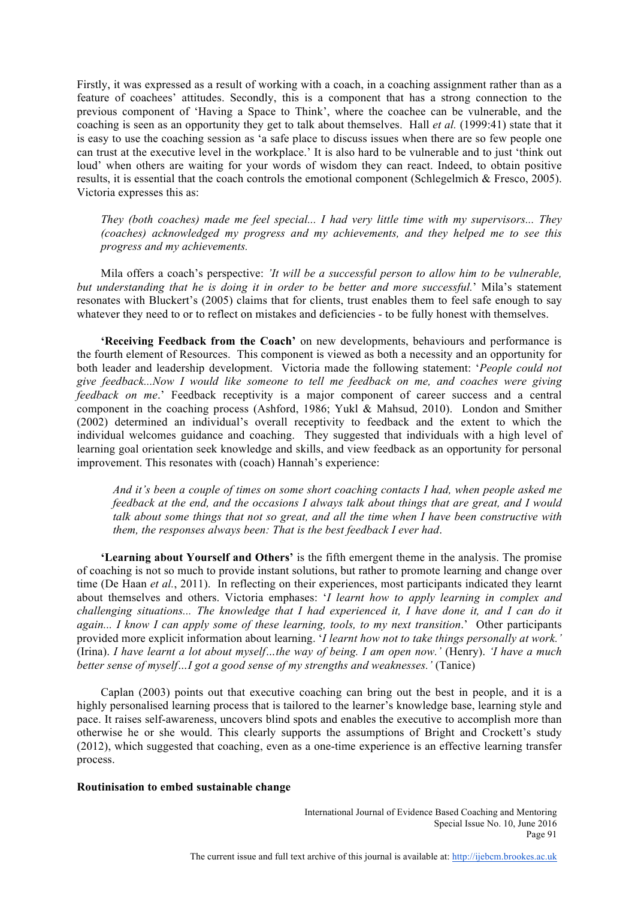Firstly, it was expressed as a result of working with a coach, in a coaching assignment rather than as a feature of coachees' attitudes. Secondly, this is a component that has a strong connection to the previous component of 'Having a Space to Think', where the coachee can be vulnerable, and the coaching is seen as an opportunity they get to talk about themselves. Hall *et al.* (1999:41) state that it is easy to use the coaching session as 'a safe place to discuss issues when there are so few people one can trust at the executive level in the workplace.' It is also hard to be vulnerable and to just 'think out loud' when others are waiting for your words of wisdom they can react. Indeed, to obtain positive results, it is essential that the coach controls the emotional component (Schlegelmich & Fresco, 2005). Victoria expresses this as:

*They (both coaches) made me feel special... I had very little time with my supervisors... They (coaches) acknowledged my progress and my achievements, and they helped me to see this progress and my achievements.*

Mila offers a coach's perspective: *'It will be a successful person to allow him to be vulnerable, but understanding that he is doing it in order to be better and more successful.*' Mila's statement resonates with Bluckert's (2005) claims that for clients, trust enables them to feel safe enough to say whatever they need to or to reflect on mistakes and deficiencies - to be fully honest with themselves.

 **'Receiving Feedback from the Coach'** on new developments, behaviours and performance is the fourth element of Resources. This component is viewed as both a necessity and an opportunity for both leader and leadership development. Victoria made the following statement: '*People could not give feedback...Now I would like someone to tell me feedback on me, and coaches were giving feedback on me*.' Feedback receptivity is a major component of career success and a central component in the coaching process (Ashford, 1986; Yukl & Mahsud, 2010). London and Smither (2002) determined an individual's overall receptivity to feedback and the extent to which the individual welcomes guidance and coaching. They suggested that individuals with a high level of learning goal orientation seek knowledge and skills, and view feedback as an opportunity for personal improvement. This resonates with (coach) Hannah's experience:

*And it's been a couple of times on some short coaching contacts I had, when people asked me feedback at the end, and the occasions I always talk about things that are great, and I would talk about some things that not so great, and all the time when I have been constructive with them, the responses always been: That is the best feedback I ever had*.

 **'Learning about Yourself and Others'** is the fifth emergent theme in the analysis. The promise of coaching is not so much to provide instant solutions, but rather to promote learning and change over time (De Haan *et al.*, 2011). In reflecting on their experiences, most participants indicated they learnt about themselves and others. Victoria emphases: '*I learnt how to apply learning in complex and challenging situations... The knowledge that I had experienced it, I have done it, and I can do it again... I know I can apply some of these learning, tools, to my next transition*.' Other participants provided more explicit information about learning. '*I learnt how not to take things personally at work.'*  (Irina). *I have learnt a lot about myself…the way of being. I am open now.'* (Henry). *'I have a much better sense of myself…I got a good sense of my strengths and weaknesses.'* (Tanice)

 Caplan (2003) points out that executive coaching can bring out the best in people, and it is a highly personalised learning process that is tailored to the learner's knowledge base, learning style and pace. It raises self-awareness, uncovers blind spots and enables the executive to accomplish more than otherwise he or she would. This clearly supports the assumptions of Bright and Crockett's study (2012), which suggested that coaching, even as a one-time experience is an effective learning transfer process.

# **Routinisation to embed sustainable change**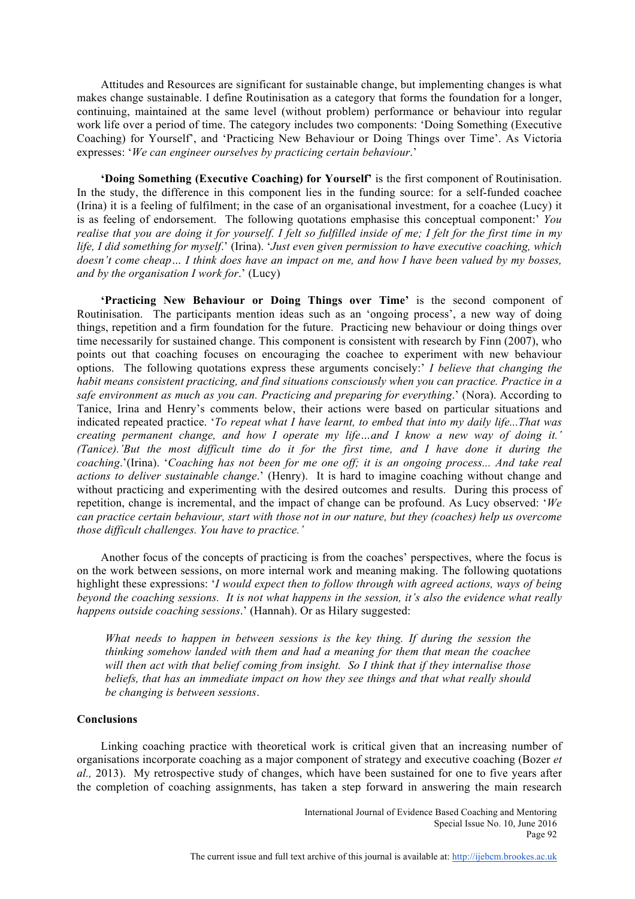Attitudes and Resources are significant for sustainable change, but implementing changes is what makes change sustainable. I define Routinisation as a category that forms the foundation for a longer, continuing, maintained at the same level (without problem) performance or behaviour into regular work life over a period of time. The category includes two components: 'Doing Something (Executive Coaching) for Yourself', and 'Practicing New Behaviour or Doing Things over Time'. As Victoria expresses: '*We can engineer ourselves by practicing certain behaviour*.'

 **'Doing Something (Executive Coaching) for Yourself'** is the first component of Routinisation. In the study, the difference in this component lies in the funding source: for a self-funded coachee (Irina) it is a feeling of fulfilment; in the case of an organisational investment, for a coachee (Lucy) it is as feeling of endorsement. The following quotations emphasise this conceptual component:' *You realise that you are doing it for yourself. I felt so fulfilled inside of me; I felt for the first time in my life, I did something for myself*.' (Irina). '*Just even given permission to have executive coaching, which doesn't come cheap… I think does have an impact on me, and how I have been valued by my bosses, and by the organisation I work for*.' (Lucy)

 **'Practicing New Behaviour or Doing Things over Time'** is the second component of Routinisation. The participants mention ideas such as an 'ongoing process', a new way of doing things, repetition and a firm foundation for the future. Practicing new behaviour or doing things over time necessarily for sustained change. This component is consistent with research by Finn (2007), who points out that coaching focuses on encouraging the coachee to experiment with new behaviour options. The following quotations express these arguments concisely:' *I believe that changing the habit means consistent practicing, and find situations consciously when you can practice. Practice in a safe environment as much as you can. Practicing and preparing for everything*.' (Nora). According to Tanice, Irina and Henry's comments below, their actions were based on particular situations and indicated repeated practice. '*To repeat what I have learnt, to embed that into my daily life...That was creating permanent change, and how I operate my life…and I know a new way of doing it.' (Tanice).'But the most difficult time do it for the first time, and I have done it during the coaching*.'(Irina). '*Coaching has not been for me one off; it is an ongoing process... And take real actions to deliver sustainable change*.' (Henry). It is hard to imagine coaching without change and without practicing and experimenting with the desired outcomes and results. During this process of repetition, change is incremental, and the impact of change can be profound. As Lucy observed: '*We can practice certain behaviour, start with those not in our nature, but they (coaches) help us overcome those difficult challenges. You have to practice.'*

 Another focus of the concepts of practicing is from the coaches' perspectives, where the focus is on the work between sessions, on more internal work and meaning making. The following quotations highlight these expressions: '*I would expect then to follow through with agreed actions, ways of being beyond the coaching sessions. It is not what happens in the session, it's also the evidence what really happens outside coaching sessions*.' (Hannah). Or as Hilary suggested:

*What needs to happen in between sessions is the key thing. If during the session the thinking somehow landed with them and had a meaning for them that mean the coachee will then act with that belief coming from insight. So I think that if they internalise those beliefs, that has an immediate impact on how they see things and that what really should be changing is between sessions*.

# **Conclusions**

 Linking coaching practice with theoretical work is critical given that an increasing number of organisations incorporate coaching as a major component of strategy and executive coaching (Bozer *et al.,* 2013). My retrospective study of changes, which have been sustained for one to five years after the completion of coaching assignments, has taken a step forward in answering the main research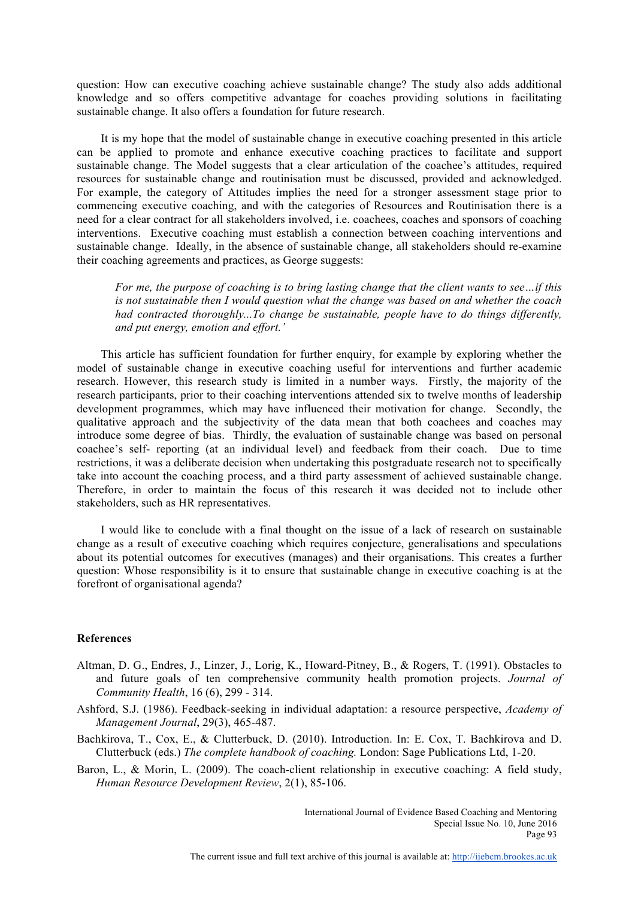question: How can executive coaching achieve sustainable change? The study also adds additional knowledge and so offers competitive advantage for coaches providing solutions in facilitating sustainable change. It also offers a foundation for future research.

 It is my hope that the model of sustainable change in executive coaching presented in this article can be applied to promote and enhance executive coaching practices to facilitate and support sustainable change. The Model suggests that a clear articulation of the coachee's attitudes, required resources for sustainable change and routinisation must be discussed, provided and acknowledged. For example, the category of Attitudes implies the need for a stronger assessment stage prior to commencing executive coaching, and with the categories of Resources and Routinisation there is a need for a clear contract for all stakeholders involved, i.e. coachees, coaches and sponsors of coaching interventions. Executive coaching must establish a connection between coaching interventions and sustainable change. Ideally, in the absence of sustainable change, all stakeholders should re-examine their coaching agreements and practices, as George suggests:

*For me, the purpose of coaching is to bring lasting change that the client wants to see…if this is not sustainable then I would question what the change was based on and whether the coach had contracted thoroughly...To change be sustainable, people have to do things differently, and put energy, emotion and effort.'*

 This article has sufficient foundation for further enquiry, for example by exploring whether the model of sustainable change in executive coaching useful for interventions and further academic research. However, this research study is limited in a number ways. Firstly, the majority of the research participants, prior to their coaching interventions attended six to twelve months of leadership development programmes, which may have influenced their motivation for change. Secondly, the qualitative approach and the subjectivity of the data mean that both coachees and coaches may introduce some degree of bias. Thirdly, the evaluation of sustainable change was based on personal coachee's self- reporting (at an individual level) and feedback from their coach. Due to time restrictions, it was a deliberate decision when undertaking this postgraduate research not to specifically take into account the coaching process, and a third party assessment of achieved sustainable change. Therefore, in order to maintain the focus of this research it was decided not to include other stakeholders, such as HR representatives.

 I would like to conclude with a final thought on the issue of a lack of research on sustainable change as a result of executive coaching which requires conjecture, generalisations and speculations about its potential outcomes for executives (manages) and their organisations. This creates a further question: Whose responsibility is it to ensure that sustainable change in executive coaching is at the forefront of organisational agenda?

# **References**

- Altman, D. G., Endres, J., Linzer, J., Lorig, K., Howard-Pitney, B., & Rogers, T. (1991). Obstacles to and future goals of ten comprehensive community health promotion projects. *Journal of Community Health*, 16 (6), 299 - 314.
- Ashford, S.J. (1986). Feedback-seeking in individual adaptation: a resource perspective, *Academy of Management Journal*, 29(3), 465-487.
- Bachkirova, T., Cox, E., & Clutterbuck, D. (2010). Introduction. In: E. Cox, T. Bachkirova and D. Clutterbuck (eds.) *The complete handbook of coaching.* London: Sage Publications Ltd, 1-20.
- Baron, L., & Morin, L. (2009). The coach-client relationship in executive coaching: A field study, *Human Resource Development Review*, 2(1), 85-106.

International Journal of Evidence Based Coaching and Mentoring Special Issue No. 10, June 2016 Page 93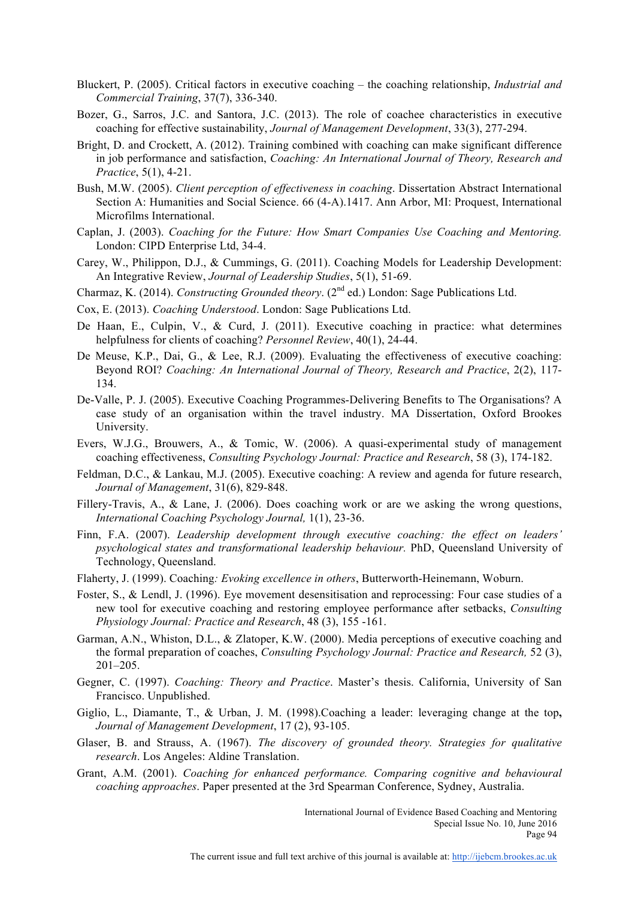- Bluckert, P. (2005). Critical factors in executive coaching the coaching relationship, *Industrial and Commercial Training*, 37(7), 336-340.
- Bozer, G., Sarros, J.C. and Santora, J.C. (2013). The role of coachee characteristics in executive coaching for effective sustainability, *Journal of Management Development*, 33(3), 277-294.
- Bright, D. and Crockett, A. (2012). Training combined with coaching can make significant difference in job performance and satisfaction, *Coaching: An International Journal of Theory, Research and Practice*, 5(1), 4-21.
- Bush, M.W. (2005). *Client perception of effectiveness in coaching*. Dissertation Abstract International Section A: Humanities and Social Science. 66 (4-A).1417. Ann Arbor, MI: Proquest, International Microfilms International.
- Caplan, J. (2003). *Coaching for the Future: How Smart Companies Use Coaching and Mentoring.* London: CIPD Enterprise Ltd, 34-4.
- Carey, W., Philippon, D.J., & Cummings, G. (2011). Coaching Models for Leadership Development: An Integrative Review, *Journal of Leadership Studies*, 5(1), 51-69.
- Charmaz, K. (2014). *Constructing Grounded theory*. (2nd ed.) London: Sage Publications Ltd.
- Cox, E. (2013). *Coaching Understood*. London: Sage Publications Ltd.
- De Haan, E., Culpin, V., & Curd, J. (2011). Executive coaching in practice: what determines helpfulness for clients of coaching? *Personnel Review*, 40(1), 24-44.
- De Meuse, K.P., Dai, G., & Lee, R.J. (2009). Evaluating the effectiveness of executive coaching: Beyond ROI? *Coaching: An International Journal of Theory, Research and Practice*, 2(2), 117- 134.
- De-Valle, P. J. (2005). Executive Coaching Programmes-Delivering Benefits to The Organisations? A case study of an organisation within the travel industry. MA Dissertation, Oxford Brookes University.
- Evers, W.J.G., Brouwers, A., & Tomic, W. (2006). A quasi-experimental study of management coaching effectiveness, *Consulting Psychology Journal: Practice and Research*, 58 (3), 174-182.
- Feldman, D.C., & Lankau, M.J. (2005). Executive coaching: A review and agenda for future research, *Journal of Management*, 31(6), 829-848.
- Fillery-Travis, A., & Lane, J. (2006). Does coaching work or are we asking the wrong questions, *International Coaching Psychology Journal,* 1(1), 23-36.
- Finn, F.A. (2007). *Leadership development through executive coaching: the effect on leaders' psychological states and transformational leadership behaviour.* PhD, Queensland University of Technology, Queensland.
- Flaherty, J. (1999). Coaching*: Evoking excellence in others*, Butterworth-Heinemann, Woburn.
- Foster, S., & Lendl, J. (1996). Eye movement desensitisation and reprocessing: Four case studies of a new tool for executive coaching and restoring employee performance after setbacks, *Consulting Physiology Journal: Practice and Research*, 48 (3), 155 -161.
- Garman, A.N., Whiston, D.L., & Zlatoper, K.W. (2000). Media perceptions of executive coaching and the formal preparation of coaches, *Consulting Psychology Journal: Practice and Research,* 52 (3), 201–205.
- Gegner, C. (1997). *Coaching: Theory and Practice*. Master's thesis. California, University of San Francisco. Unpublished.
- Giglio, L., Diamante, T., & Urban, J. M. (1998).Coaching a leader: leveraging change at the top**,** *Journal of Management Development*, 17 (2), 93-105.
- Glaser, B. and Strauss, A. (1967). *The discovery of grounded theory. Strategies for qualitative research*. Los Angeles: Aldine Translation.
- Grant, A.M. (2001). *Coaching for enhanced performance. Comparing cognitive and behavioural coaching approaches*. Paper presented at the 3rd Spearman Conference, Sydney, Australia.

International Journal of Evidence Based Coaching and Mentoring Special Issue No. 10, June 2016 Page 94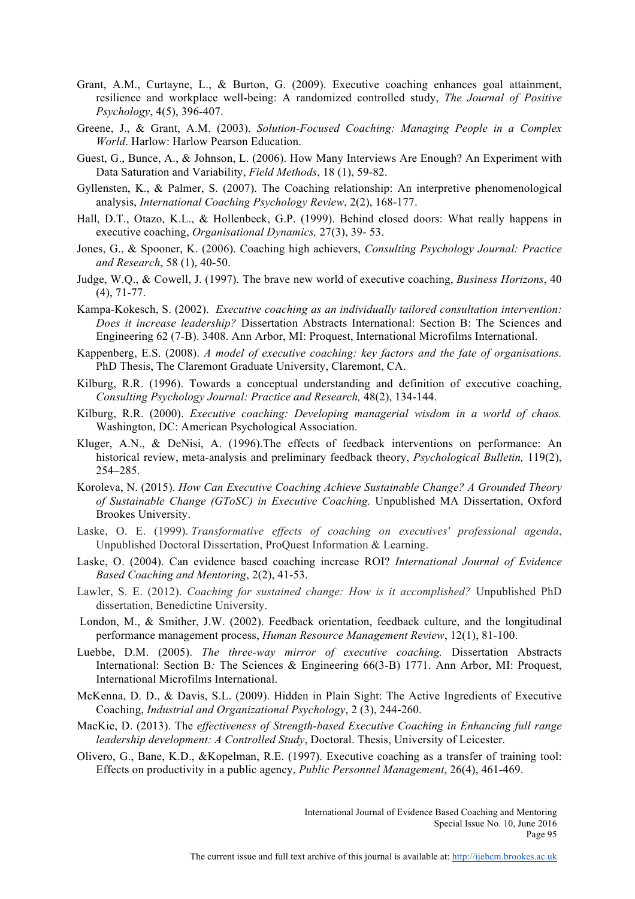- Grant, A.M., Curtayne, L., & Burton, G. (2009). Executive coaching enhances goal attainment, resilience and workplace well-being: A randomized controlled study, *The Journal of Positive Psychology*, 4(5), 396-407.
- Greene, J., & Grant, A.M. (2003). *Solution-Focused Coaching: Managing People in a Complex World*. Harlow: Harlow Pearson Education.
- Guest, G., Bunce, A., & Johnson, L. (2006). How Many Interviews Are Enough? An Experiment with Data Saturation and Variability, *Field Methods*, 18 (1), 59-82.
- Gyllensten, K., & Palmer, S. (2007). The Coaching relationship: An interpretive phenomenological analysis, *International Coaching Psychology Review*, 2(2), 168-177.
- Hall, D.T., Otazo, K.L., & Hollenbeck, G.P. (1999). Behind closed doors: What really happens in executive coaching, *Organisational Dynamics,* 27(3), 39- 53.
- Jones, G., & Spooner, K. (2006). Coaching high achievers, *Consulting Psychology Journal: Practice and Research*, 58 (1), 40-50.
- Judge, W.Q., & Cowell, J. (1997). The brave new world of executive coaching, *Business Horizons*, 40 (4), 71-77.
- Kampa-Kokesch, S. (2002). *Executive coaching as an individually tailored consultation intervention: Does it increase leadership?* Dissertation Abstracts International: Section B: The Sciences and Engineering 62 (7-B). 3408. Ann Arbor, MI: Proquest, International Microfilms International.
- Kappenberg, E.S. (2008). *A model of executive coaching: key factors and the fate of organisations.*  PhD Thesis, The Claremont Graduate University, Claremont, CA.
- Kilburg, R.R. (1996). Towards a conceptual understanding and definition of executive coaching, *Consulting Psychology Journal: Practice and Research,* 48(2), 134-144.
- Kilburg, R.R. (2000). *Executive coaching: Developing managerial wisdom in a world of chaos.* Washington, DC: American Psychological Association.
- Kluger, A.N., & DeNisi, A. (1996).The effects of feedback interventions on performance: An historical review, meta-analysis and preliminary feedback theory, *Psychological Bulletin,* 119(2), 254–285.
- Koroleva, N. (2015). *How Can Executive Coaching Achieve Sustainable Change? A Grounded Theory of Sustainable Change (GToSC) in Executive Coaching.* Unpublished MA Dissertation, Oxford Brookes University.
- Laske, O. E. (1999). *Transformative effects of coaching on executives' professional agenda*, Unpublished Doctoral Dissertation, ProQuest Information & Learning.
- Laske, O. (2004). Can evidence based coaching increase ROI? *International Journal of Evidence Based Coaching and Mentoring*, 2(2), 41-53.
- Lawler, S. E. (2012). *Coaching for sustained change: How is it accomplished?* Unpublished PhD dissertation, Benedictine University.
- London, M., & Smither, J.W. (2002). Feedback orientation, feedback culture, and the longitudinal performance management process, *Human Resource Management Review*, 12(1), 81-100.
- Luebbe, D.M. (2005). *The three-way mirror of executive coaching.* Dissertation Abstracts International: Section B*:* The Sciences & Engineering 66(3-B) 1771. Ann Arbor, MI: Proquest, International Microfilms International.
- McKenna, D. D., & Davis, S.L. (2009). Hidden in Plain Sight: The Active Ingredients of Executive Coaching, *Industrial and Organizational Psychology*, 2 (3), 244-260.
- MacKie, D. (2013). The *effectiveness of Strength-based Executive Coaching in Enhancing full range leadership development: A Controlled Study*, Doctoral. Thesis, University of Leicester.
- Olivero, G., Bane, K.D., &Kopelman, R.E. (1997). Executive coaching as a transfer of training tool: Effects on productivity in a public agency, *Public Personnel Management*, 26(4), 461-469.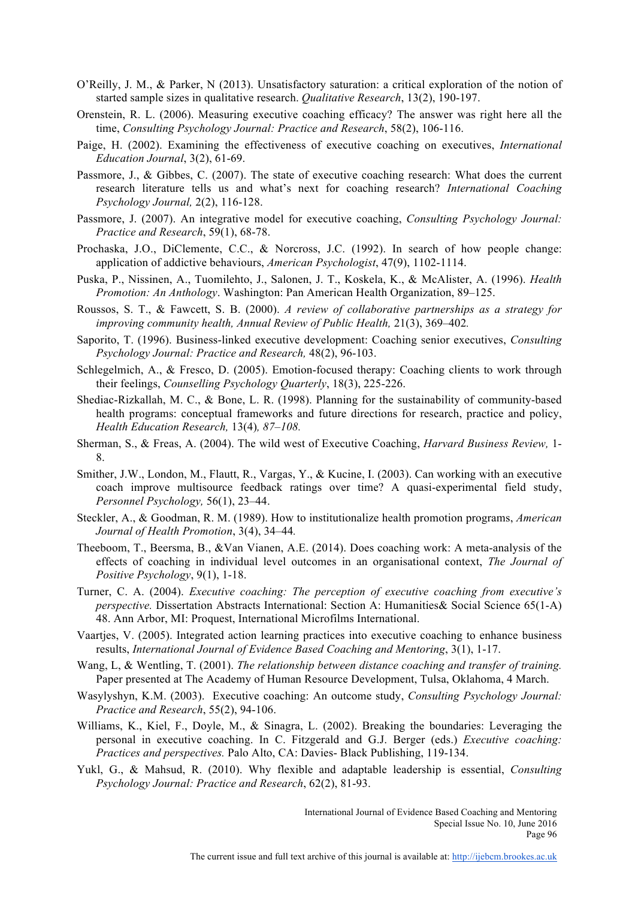- O'Reilly, J. M., & Parker, N (2013). Unsatisfactory saturation: a critical exploration of the notion of started sample sizes in qualitative research. *Qualitative Research*, 13(2), 190-197.
- Orenstein, R. L. (2006). Measuring executive coaching efficacy? The answer was right here all the time, *Consulting Psychology Journal: Practice and Research*, 58(2), 106-116.
- Paige, H. (2002). Examining the effectiveness of executive coaching on executives, *International Education Journal*, 3(2), 61-69.
- Passmore, J., & Gibbes, C. (2007). The state of executive coaching research: What does the current research literature tells us and what's next for coaching research? *International Coaching Psychology Journal,* 2(2), 116-128.
- Passmore, J. (2007). An integrative model for executive coaching, *Consulting Psychology Journal: Practice and Research*, 59(1), 68-78.
- Prochaska, J.O., DiClemente, C.C., & Norcross, J.C. (1992). In search of how people change: application of addictive behaviours, *American Psychologist*, 47(9), 1102-1114.
- Puska, P., Nissinen, A., Tuomilehto, J., Salonen, J. T., Koskela, K., & McAlister, A. (1996). *Health Promotion: An Anthology*. Washington: Pan American Health Organization, 89–125.
- Roussos, S. T., & Fawcett, S. B. (2000). *A review of collaborative partnerships as a strategy for improving community health, Annual Review of Public Health,* 21(3), 369–402*.*
- Saporito, T. (1996). Business-linked executive development: Coaching senior executives, *Consulting Psychology Journal: Practice and Research,* 48(2), 96-103.
- Schlegelmich, A., & Fresco, D. (2005). Emotion-focused therapy: Coaching clients to work through their feelings, *Counselling Psychology Quarterly*, 18(3), 225-226.
- Shediac-Rizkallah, M. C., & Bone, L. R. (1998). Planning for the sustainability of community-based health programs: conceptual frameworks and future directions for research, practice and policy, *Health Education Research,* 13(4)*, 87–108.*
- Sherman, S., & Freas, A. (2004). The wild west of Executive Coaching, *Harvard Business Review,* 1- 8.
- Smither, J.W., London, M., Flautt, R., Vargas, Y., & Kucine, I. (2003). Can working with an executive coach improve multisource feedback ratings over time? A quasi-experimental field study, *Personnel Psychology,* 56(1), 23–44.
- Steckler, A., & Goodman, R. M. (1989). How to institutionalize health promotion programs, *American Journal of Health Promotion*, 3(4), 34–44*.*
- Theeboom, T., Beersma, B., &Van Vianen, A.E. (2014). Does coaching work: A meta-analysis of the effects of coaching in individual level outcomes in an organisational context, *The Journal of Positive Psychology*, 9(1), 1-18.
- Turner, C. A. (2004). *Executive coaching: The perception of executive coaching from executive's perspective.* Dissertation Abstracts International: Section A: Humanities & Social Science 65(1-A) 48. Ann Arbor, MI: Proquest, International Microfilms International.
- Vaartjes, V. (2005). Integrated action learning practices into executive coaching to enhance business results, *International Journal of Evidence Based Coaching and Mentoring*, 3(1), 1-17.
- Wang, L, & Wentling, T. (2001). *The relationship between distance coaching and transfer of training.* Paper presented at The Academy of Human Resource Development, Tulsa, Oklahoma, 4 March.
- Wasylyshyn, K.M. (2003). Executive coaching: An outcome study, *Consulting Psychology Journal: Practice and Research*, 55(2), 94-106.
- Williams, K., Kiel, F., Doyle, M., & Sinagra, L. (2002). Breaking the boundaries: Leveraging the personal in executive coaching. In C. Fitzgerald and G.J. Berger (eds.) *Executive coaching: Practices and perspectives.* Palo Alto, CA: Davies- Black Publishing, 119-134.
- Yukl, G., & Mahsud, R. (2010). Why flexible and adaptable leadership is essential, *Consulting Psychology Journal: Practice and Research*, 62(2), 81-93.

International Journal of Evidence Based Coaching and Mentoring Special Issue No. 10, June 2016 Page 96